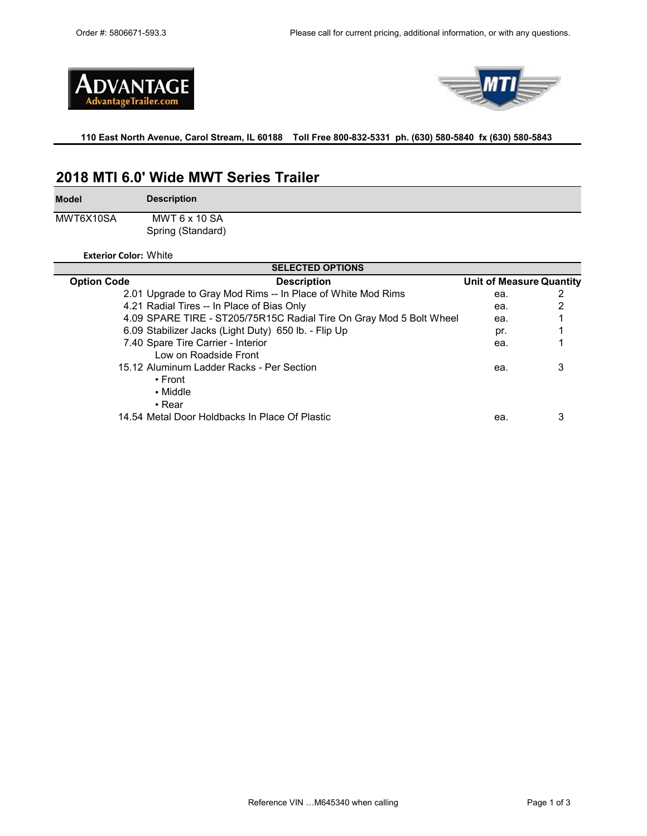



### **110 East North Avenue, Carol Stream, IL 60188 Toll Free 800-832-5331 ph. (630) 580-5840 fx (630) 580-5843**

## **2018 MTI 6.0' Wide MWT Series Trailer**

**Model**

**Description**

MWT6X10SA Spring (Standard) MWT 6 x 10 SA

**Exterior Color:** White

| <b>SELECTED OPTIONS</b> |                                                                     |                                 |   |  |  |  |
|-------------------------|---------------------------------------------------------------------|---------------------------------|---|--|--|--|
| <b>Option Code</b>      | <b>Description</b>                                                  | <b>Unit of Measure Quantity</b> |   |  |  |  |
|                         | 2.01 Upgrade to Gray Mod Rims -- In Place of White Mod Rims         | ea.                             |   |  |  |  |
|                         | 4.21 Radial Tires -- In Place of Bias Only                          | ea.                             |   |  |  |  |
|                         | 4.09 SPARE TIRE - ST205/75R15C Radial Tire On Gray Mod 5 Bolt Wheel | ea.                             |   |  |  |  |
|                         | 6.09 Stabilizer Jacks (Light Duty) 650 lb. - Flip Up                | pr.                             |   |  |  |  |
|                         | 7.40 Spare Tire Carrier - Interior                                  | ea.                             |   |  |  |  |
|                         | Low on Roadside Front                                               |                                 |   |  |  |  |
|                         | 15.12 Aluminum Ladder Racks - Per Section                           | ea.                             | З |  |  |  |
|                         | • Front                                                             |                                 |   |  |  |  |
|                         | • Middle                                                            |                                 |   |  |  |  |
|                         | $\cdot$ Rear                                                        |                                 |   |  |  |  |
|                         | 14.54 Metal Door Holdbacks In Place Of Plastic                      | ea.                             | З |  |  |  |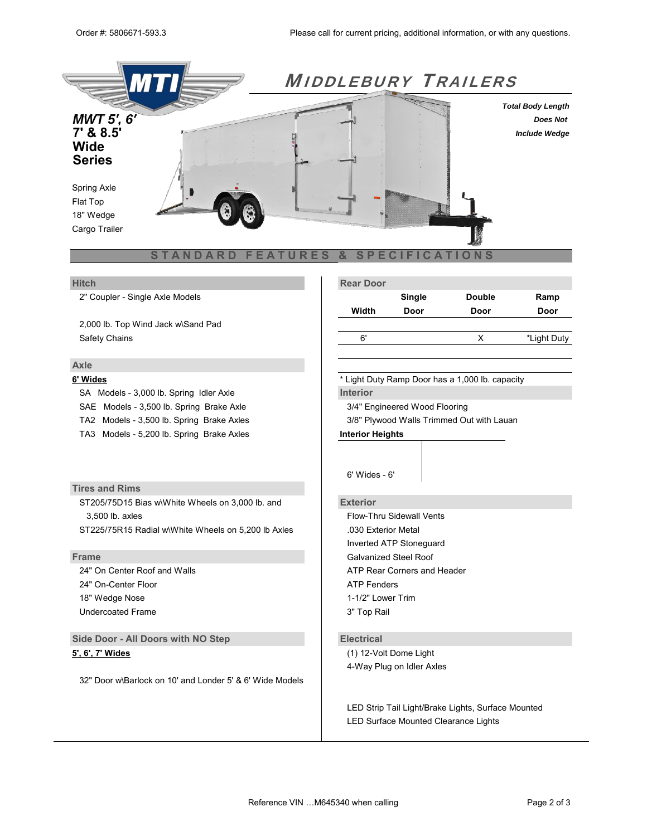

### **Axle**

SA Models - 3,000 lb. Spring Idler Axle **Interior** SAE Models - 3,500 lb. Spring Brake Axle 3/4" State 3/4" Engineered Wood Flooring TA2 Models - 3,500 lb. Spring Brake Axles 3/8" Plywood Walls Trimmed Out with Lauan

TA3 Models - 5,200 lb. Spring Brake Axles **Interior Heights**

## **Tires and Rims**

ST205/75D15 Bias w\White Wheels on 3,000 lb. and **Exterior** 3.500 lb. axles Flow-Thru Sidewall Vents ST225/75R15 Radial w\White Wheels on 5,200 lb Axles .030 Exterior Metal

24" On-Center Floor **ATP Fenders** 18" Wedge Nose 2008 2009 2012 12:30 1899 2012 1-1/2" Lower Trim Undercoated Frame 3" Top Rail

**Side Door - All Doors with NO Step <b>Electrical** 

32" Door w\Barlock on 10' and Londer 5' & 6' Wide Models

| <b>Hitch</b>                       |  | <b>Rear Door</b> |        |               |             |
|------------------------------------|--|------------------|--------|---------------|-------------|
| 2" Coupler - Single Axle Models    |  |                  | Single | <b>Double</b> | Ramp        |
|                                    |  | Width            | Door   | Door          | Door        |
| 2,000 lb. Top Wind Jack w\Sand Pad |  |                  |        |               |             |
| Safety Chains                      |  | 6'               |        |               | *Light Duty |

**6' Wides** \* Light Duty Ramp Door has a 1,000 lb. capacity

4' Wides - 4' 7' Wides - 6' 5' Wides - 5' 6" 8.5' Wides - 6' 6"

6' Wides - 6'

Inverted ATP Stoneguard **Frame** Galvanized Steel Roof 24" On Center Roof and Walls **ATP Rear Corners and Header** ATP Rear Corners and Header

**5', 6', 7' Wides** (1) 12-Volt Dome Light 4-Way Plug on Idler Axles

> LED Strip Tail Light/Brake Lights, Surface Mounted LED Surface Mounted Clearance Lights

36" Door w\Barlock on 7' Wide Models Breakaway Box, Battery, & Switch